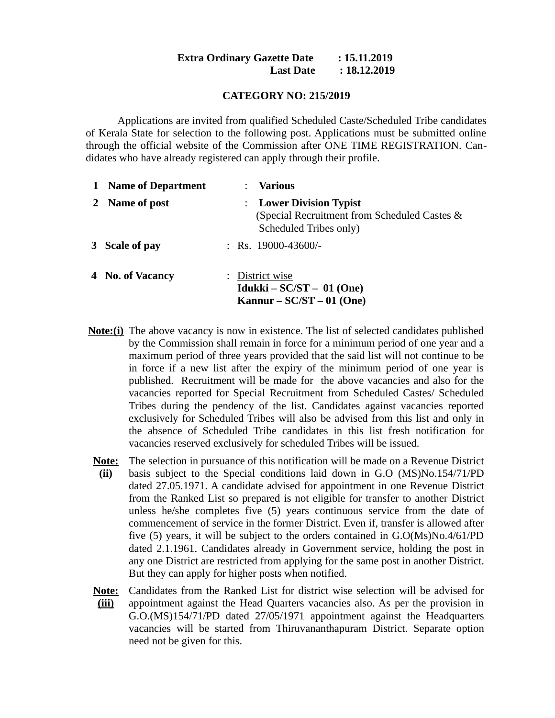## **Extra Ordinary Gazette Date : 15.11.2019 Last Date : 18.12.2019**

### **CATEGORY NO: 215/2019**

Applications are invited from qualified Scheduled Caste/Scheduled Tribe candidates of Kerala State for selection to the following post. Applications must be submitted online through the official website of the Commission after ONE TIME REGISTRATION. Candidates who have already registered can apply through their profile.

| 1 Name of Department | <b>Various</b>                                                                                    |
|----------------------|---------------------------------------------------------------------------------------------------|
| 2 Name of post       | : Lower Division Typist<br>(Special Recruitment from Scheduled Castes &<br>Scheduled Tribes only) |
| 3 Scale of pay       | : Rs. $19000-43600/-$                                                                             |
| 4 No. of Vacancy     | District wise<br>Idukki – $SC/ST - 01$ (One)<br>Kannur – $SC/ST - 01$ (One)                       |

- **Note:(i)** The above vacancy is now in existence. The list of selected candidates published by the Commission shall remain in force for a minimum period of one year and a maximum period of three years provided that the said list will not continue to be in force if a new list after the expiry of the minimum period of one year is published. Recruitment will be made for the above vacancies and also for the vacancies reported for Special Recruitment from Scheduled Castes/ Scheduled Tribes during the pendency of the list. Candidates against vacancies reported exclusively for Scheduled Tribes will also be advised from this list and only in the absence of Scheduled Tribe candidates in this list fresh notification for vacancies reserved exclusively for scheduled Tribes will be issued.
	- **Note:** The selection in pursuance of this notification will be made on a Revenue District **(ii)** basis subject to the Special conditions laid down in G.O (MS)No.154/71/PD dated 27.05.1971. A candidate advised for appointment in one Revenue District from the Ranked List so prepared is not eligible for transfer to another District unless he/she completes five (5) years continuous service from the date of commencement of service in the former District. Even if, transfer is allowed after five (5) years, it will be subject to the orders contained in G.O(Ms)No.4/61/PD dated 2.1.1961. Candidates already in Government service, holding the post in any one District are restricted from applying for the same post in another District. But they can apply for higher posts when notified.
- **Note: (iii)** Candidates from the Ranked List for district wise selection will be advised for appointment against the Head Quarters vacancies also. As per the provision in G.O.(MS)154/71/PD dated 27/05/1971 appointment against the Headquarters vacancies will be started from Thiruvananthapuram District. Separate option need not be given for this.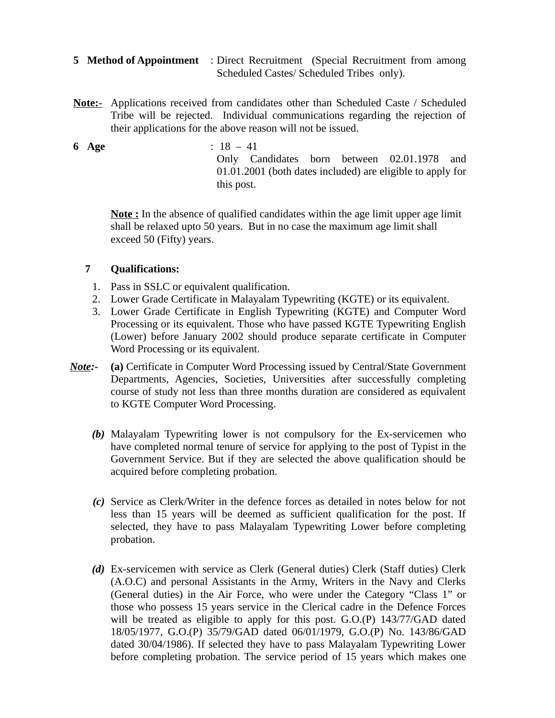- **5 Method of Appointment** : Direct Recruitment (Special Recruitment from among Scheduled Castes/ Scheduled Tribes only).
- **Note:-** Applications received from candidates other than Scheduled Caste / Scheduled Tribe will be rejected. Individual communications regarding the rejection of their applications for the above reason will not be issued.

**6 Age** : 18 – 41 Only Candidates born between 02.01.1978 and 01.01.2001 (both dates included) are eligible to apply for this post.

**Note :** In the absence of qualified candidates within the age limit upper age limit shall be relaxed upto 50 years. But in no case the maximum age limit shall exceed 50 (Fifty) years.

# **7 Qualifications:**

- 1. Pass in SSLC or equivalent qualification.
- 2. Lower Grade Certificate in Malayalam Typewriting (KGTE) or its equivalent.
- 3. Lower Grade Certificate in English Typewriting (KGTE) and Computer Word Processing or its equivalent. Those who have passed KGTE Typewriting English (Lower) before January 2002 should produce separate certificate in Computer Word Processing or its equivalent.
- *Note:-* **(a)** Certificate in Computer Word Processing issued by Central/State Government Departments, Agencies, Societies, Universities after successfully completing course of study not less than three months duration are considered as equivalent to KGTE Computer Word Processing.
	- *(b)* Malayalam Typewriting lower is not compulsory for the Ex-servicemen who have completed normal tenure of service for applying to the post of Typist in the Government Service. But if they are selected the above qualification should be acquired before completing probation.
	- *(c)* Service as Clerk/Writer in the defence forces as detailed in notes below for not less than 15 years will be deemed as sufficient qualification for the post. If selected, they have to pass Malayalam Typewriting Lower before completing probation.
	- *(d)* Ex-servicemen with service as Clerk (General duties) Clerk (Staff duties) Clerk (A.O.C) and personal Assistants in the Army, Writers in the Navy and Clerks (General duties) in the Air Force, who were under the Category "Class 1" or those who possess 15 years service in the Clerical cadre in the Defence Forces will be treated as eligible to apply for this post.  $G.O.(P)$  143/77/ $GAD$  dated 18/05/1977, G.O.(P) 35/79/GAD dated 06/01/1979, G.O.(P) No. 143/86/GAD dated 30/04/1986). If selected they have to pass Malayalam Typewriting Lower before completing probation. The service period of 15 years which makes one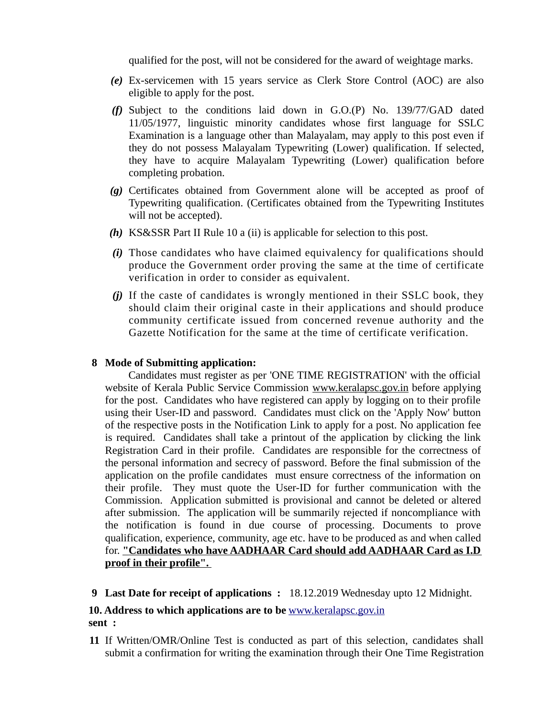qualified for the post, will not be considered for the award of weightage marks.

- *(e)* Ex-servicemen with 15 years service as Clerk Store Control (AOC) are also eligible to apply for the post.
- *(f)* Subject to the conditions laid down in G.O.(P) No. 139/77/GAD dated 11/05/1977, linguistic minority candidates whose first language for SSLC Examination is a language other than Malayalam, may apply to this post even if they do not possess Malayalam Typewriting (Lower) qualification. If selected, they have to acquire Malayalam Typewriting (Lower) qualification before completing probation.
- *(g)* Certificates obtained from Government alone will be accepted as proof of Typewriting qualification. (Certificates obtained from the Typewriting Institutes will not be accepted).
- *(h)* KS&SSR Part II Rule 10 a (ii) is applicable for selection to this post.
- *(i)* Those candidates who have claimed equivalency for qualifications should produce the Government order proving the same at the time of certificate verification in order to consider as equivalent.
- *(j)* If the caste of candidates is wrongly mentioned in their SSLC book, they should claim their original caste in their applications and should produce community certificate issued from concerned revenue authority and the Gazette Notification for the same at the time of certificate verification.

#### **8 Mode of Submitting application:**

 Candidates must register as per 'ONE TIME REGISTRATION' with the official website of Kerala Public Service Commission [www.keralapsc.gov.in](http://www.keralapsc.gov.in/) before applying for the post. Candidates who have registered can apply by logging on to their profile using their User-ID and password. Candidates must click on the 'Apply Now' button of the respective posts in the Notification Link to apply for a post. No application fee is required. Candidates shall take a printout of the application by clicking the link Registration Card in their profile. Candidates are responsible for the correctness of the personal information and secrecy of password. Before the final submission of the application on the profile candidates must ensure correctness of the information on their profile. They must quote the User-ID for further communication with the Commission. Application submitted is provisional and cannot be deleted or altered after submission. The application will be summarily rejected if noncompliance with the notification is found in due course of processing. Documents to prove qualification, experience, community, age etc. have to be produced as and when called for. **"Candidates who have AADHAAR Card should add AADHAAR Card as I.D proof in their profile".** 

**9 Last Date for receipt of applications :** 18.12.2019 Wednesday upto 12 Midnight.

## **10. Address to which applications are to be**  [www.keralapsc.gov.in](http://www.keralapsc.gov.in/) **sent :**

**11** If Written/OMR/Online Test is conducted as part of this selection, candidates shall submit a confirmation for writing the examination through their One Time Registration